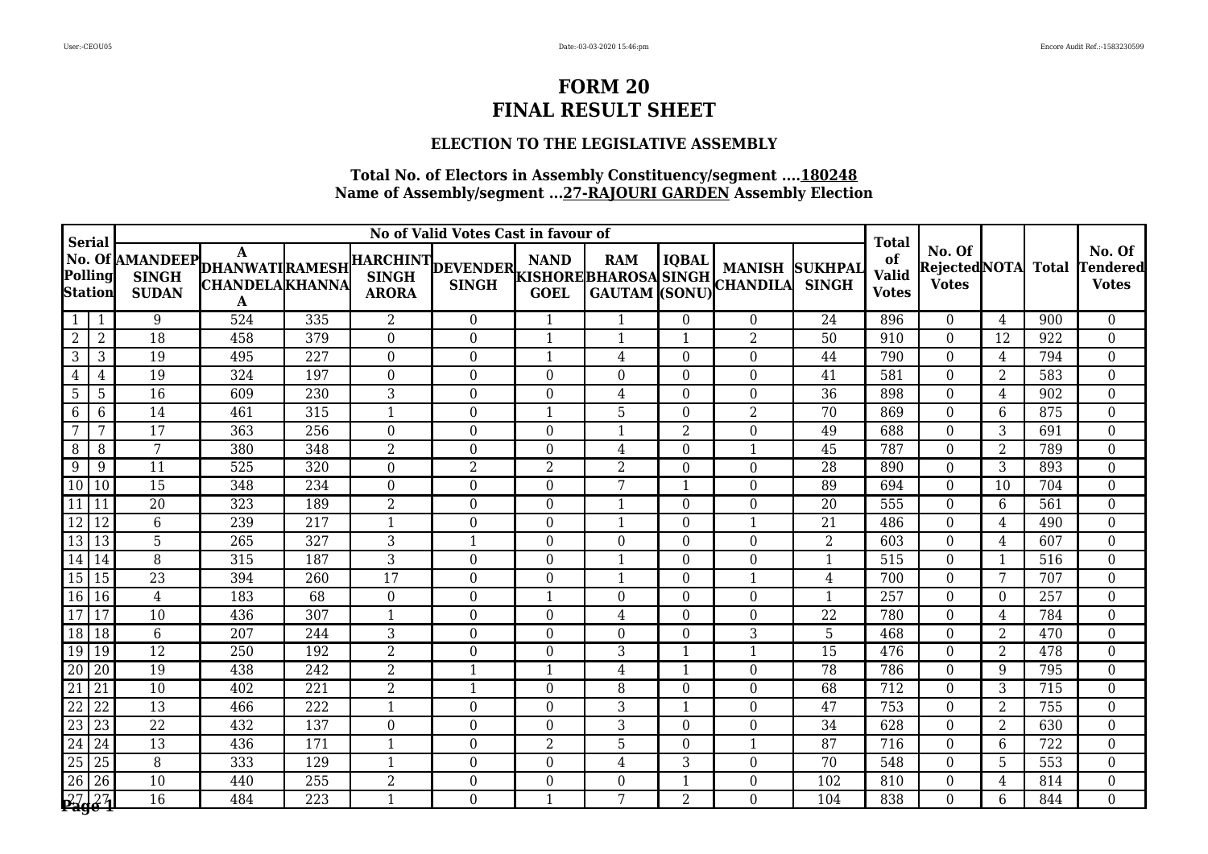### **ELECTION TO THE LEGISLATIVE ASSEMBLY**

| <b>Serial</b>             |                 |                              |                                                                          |                  |                  | <b>Total</b>                            |                  |                |                |                                         |                                |                                    |                                               |                |              |                                           |
|---------------------------|-----------------|------------------------------|--------------------------------------------------------------------------|------------------|------------------|-----------------------------------------|------------------|----------------|----------------|-----------------------------------------|--------------------------------|------------------------------------|-----------------------------------------------|----------------|--------------|-------------------------------------------|
| Polling<br><b>Station</b> |                 | <b>SINGH</b><br><b>SUDAN</b> | No. Of AMANDEEP DHANWATI RAMESH<br><b>CHANDELA KHANNA</b><br>$\mathbf A$ |                  | <b>ARORA</b>     | HARCHINT DEVENDER KISHORE BHAROSA SINGH | <b>GOEL</b>      |                |                | <b>MANISH</b><br>GAUTAM (SONU) CHANDILA | <b>SUKHPAL</b><br><b>SINGH</b> | of<br><b>Valid</b><br><b>Votes</b> | No. Of<br><b>RejectedNOTA</b><br><b>Votes</b> |                | <b>Total</b> | No. Of<br><b>Tendered</b><br><b>Votes</b> |
| $1 \mid$                  |                 | 9                            | 524                                                                      | 335              | $\overline{2}$   | $\overline{0}$                          | $\mathbf{1}$     |                | $\Omega$       | $\theta$                                | 24                             | 896                                | $\theta$                                      | 4              | 900          | $\boldsymbol{0}$                          |
| $\overline{2}$            | $\overline{2}$  | $\overline{18}$              | 458                                                                      | 379              | $\boldsymbol{0}$ | $\Omega$                                | $\mathbf{1}$     | $\mathbf{1}$   |                | $\overline{2}$                          | 50                             | 910                                | $\theta$                                      | 12             | 922          | $\boldsymbol{0}$                          |
| 3                         | 3               | 19                           | 495                                                                      | 227              | $\boldsymbol{0}$ | $\overline{0}$                          | $\mathbf{1}$     | 4              | $\theta$       | $\theta$                                | 44                             | 790                                | $\theta$                                      | 4              | 794          | $\boldsymbol{0}$                          |
| 4                         | 4               | 19                           | 324                                                                      | 197              | $\theta$         | $\mathbf{0}$                            | $\overline{0}$   | $\theta$       | $\Omega$       | $\overline{0}$                          | 41                             | 581                                | $\Omega$                                      | 2              | 583          | $\boldsymbol{0}$                          |
| $5\phantom{.0}$           | 5               | $\overline{16}$              | 609                                                                      | 230              | 3                | $\boldsymbol{0}$                        | $\boldsymbol{0}$ | $\overline{4}$ | $\Omega$       | $\overline{0}$                          | $\overline{36}$                | 898                                | $\overline{0}$                                | $\overline{4}$ | 902          | $\boldsymbol{0}$                          |
| 6                         | 6               | 14                           | 461                                                                      | 315              | $\mathbf{1}$     | $\boldsymbol{0}$                        | $\mathbf{1}$     | 5              | $\Omega$       | $\overline{2}$                          | 70                             | 869                                | $\overline{0}$                                | 6              | 875          | $\boldsymbol{0}$                          |
| 7                         | 7               | 17                           | 363                                                                      | 256              | $\boldsymbol{0}$ | $\boldsymbol{0}$                        | 0                | 1              | $\overline{2}$ | $\theta$                                | 49                             | 688                                | $\Omega$                                      | 3              | 691          | $\boldsymbol{0}$                          |
| 8                         | 8               | $\overline{7}$               | 380                                                                      | 348              | $\overline{2}$   | $\overline{0}$                          | $\overline{0}$   | $\overline{4}$ | $\Omega$       | $\overline{1}$                          | 45                             | 787                                | $\overline{0}$                                | $\overline{2}$ | 789          | $\boldsymbol{0}$                          |
| 9                         | 9               | 11                           | 525                                                                      | 320              | $\overline{0}$   | $\overline{2}$                          | $\overline{2}$   | $\overline{2}$ | $\Omega$       | $\overline{0}$                          | 28                             | 890                                | $\overline{0}$                                | 3              | 893          | $\boldsymbol{0}$                          |
| $\overline{10}$           | $\vert$ 10      | 15                           | 348                                                                      | 234              | $\boldsymbol{0}$ | $\boldsymbol{0}$                        | $\mathbf{0}$     | 7              |                | $\theta$                                | 89                             | 694                                | $\Omega$                                      | 10             | 704          | $\boldsymbol{0}$                          |
| $\boxed{11}$ $\boxed{11}$ |                 | 20                           | 323                                                                      | 189              | $\overline{2}$   | $\overline{0}$                          | $\theta$         | $\mathbf{1}$   | $\Omega$       | $\overline{0}$                          | 20                             | 555                                | $\theta$                                      | 6              | 561          | $\boldsymbol{0}$                          |
| 12 12                     |                 | $6\phantom{.}6$              | 239                                                                      | 217              | $\mathbf{1}$     | $\overline{0}$                          | $\theta$         | 1              | $\Omega$       | -1                                      | 21                             | 486                                | $\theta$                                      | 4              | 490          | $\boldsymbol{0}$                          |
| $\boxed{13}$              | 13              | $\overline{5}$               | 265                                                                      | 327              | 3                | $\mathbf{1}$                            | $\theta$         | $\overline{0}$ | $\Omega$       | $\theta$                                | $\overline{2}$                 | 603                                | $\Omega$                                      | 4              | 607          | $\boldsymbol{0}$                          |
| $\boxed{14}$ $\boxed{14}$ |                 | $\, 8$                       | 315                                                                      | 187              | 3                | $\boldsymbol{0}$                        | $\boldsymbol{0}$ | $\mathbf 1$    | $\Omega$       | $\boldsymbol{0}$                        | $\mathbf{1}$                   | 515                                | $\theta$                                      | 1              | 516          | $\boldsymbol{0}$                          |
| $\boxed{15}$ $\boxed{15}$ |                 | 23                           | 394                                                                      | 260              | 17               | $\boldsymbol{0}$                        | $\boldsymbol{0}$ | $\mathbf{1}$   | $\Omega$       | $\overline{1}$                          | 4                              | 700                                | $\overline{0}$                                | 7              | 707          | $\boldsymbol{0}$                          |
| $\boxed{16}$              |                 | $\overline{4}$               | 183                                                                      | 68               | $\boldsymbol{0}$ | $\overline{0}$                          | $\mathbf{1}$     | $\overline{0}$ | $\Omega$       | $\theta$                                | 1                              | 257                                | $\Omega$                                      | $\Omega$       | 257          | $\boldsymbol{0}$                          |
| 17 17                     |                 | 10                           | 436                                                                      | 307              | 1                | $\boldsymbol{0}$                        | $\overline{0}$   | $\overline{4}$ | $\Omega$       | $\overline{0}$                          | 22                             | 780                                | $\Omega$                                      | 4              | 784          | $\boldsymbol{0}$                          |
| 18 18                     |                 | $6\phantom{1}6$              | $\overline{207}$                                                         | 244              | 3                | $\overline{0}$                          | 0                | $\overline{0}$ | $\Omega$       | 3                                       | 5                              | 468                                | $\theta$                                      | 2              | 470          | $\boldsymbol{0}$                          |
| 19 19                     |                 | 12                           | 250                                                                      | 192              | $\,2$            | $\boldsymbol{0}$                        | $\boldsymbol{0}$ | 3              |                | $\overline{1}$                          | 15                             | 476                                | $\overline{0}$                                | $\overline{2}$ | 478          | $\boldsymbol{0}$                          |
| $\overline{20}$           | 20              | 19                           | 438                                                                      | 242              | $\overline{2}$   | $\mathbf{1}$                            | $\mathbf{1}$     | $\overline{4}$ |                | $\theta$                                | 78                             | 786                                | $\theta$                                      | 9              | 795          | $\boldsymbol{0}$                          |
| $\overline{21}$           | $\overline{21}$ | 10                           | 402                                                                      | 221              | $\overline{2}$   | $\mathbf{1}$                            | $\theta$         | 8              | $\Omega$       | $\Omega$                                | 68                             | $\overline{712}$                   | $\Omega$                                      | 3              | 715          | $\boldsymbol{0}$                          |
| $\overline{22}$           | 22              | 13                           | 466                                                                      | 222              | 1                | $\overline{0}$                          | $\theta$         | 3              | 1              | $\theta$                                | 47                             | 753                                | $\Omega$                                      | 2              | 755          | $\boldsymbol{0}$                          |
| $\overline{23}$           | 23              | $\overline{22}$              | 432                                                                      | 137              | $\boldsymbol{0}$ | $\overline{0}$                          | $\overline{0}$   | $\overline{3}$ | $\Omega$       | $\overline{0}$                          | 34                             | 628                                | $\overline{0}$                                | 2              | 630          | $\boldsymbol{0}$                          |
| $\overline{24}$           | 24              | 13                           | 436                                                                      | 171              | $\mathbf{1}$     | $\boldsymbol{0}$                        | $\overline{2}$   | 5              | $\Omega$       |                                         | 87                             | 716                                | $\Omega$                                      | 6              | 722          | $\boldsymbol{0}$                          |
| $\overline{25}$           | 25              | 8                            | 333                                                                      | 129              | 1                | $\boldsymbol{0}$                        | $\overline{0}$   | 4              | 3              | $\boldsymbol{0}$                        | 70                             | 548                                | $\Omega$                                      | 5              | 553          | $\boldsymbol{0}$                          |
| $\overline{26}$           | 26              | 10                           | 440                                                                      | 255              | $\overline{2}$   | $\boldsymbol{0}$                        | $\mathbf{0}$     | $\overline{0}$ |                | $\theta$                                | 102                            | 810                                | $\Omega$                                      | 4              | 814          | $\boldsymbol{0}$                          |
| $\sqrt{27}$ $\sqrt{27}$   |                 | $\overline{16}$              | 484                                                                      | $\overline{223}$ | $\mathbf{1}$     | $\overline{0}$                          | $\mathbf{1}$     | 7              | $\overline{2}$ | $\Omega$                                | 104                            | $\overline{838}$                   | $\Omega$                                      | 6              | 844          | $\overline{0}$                            |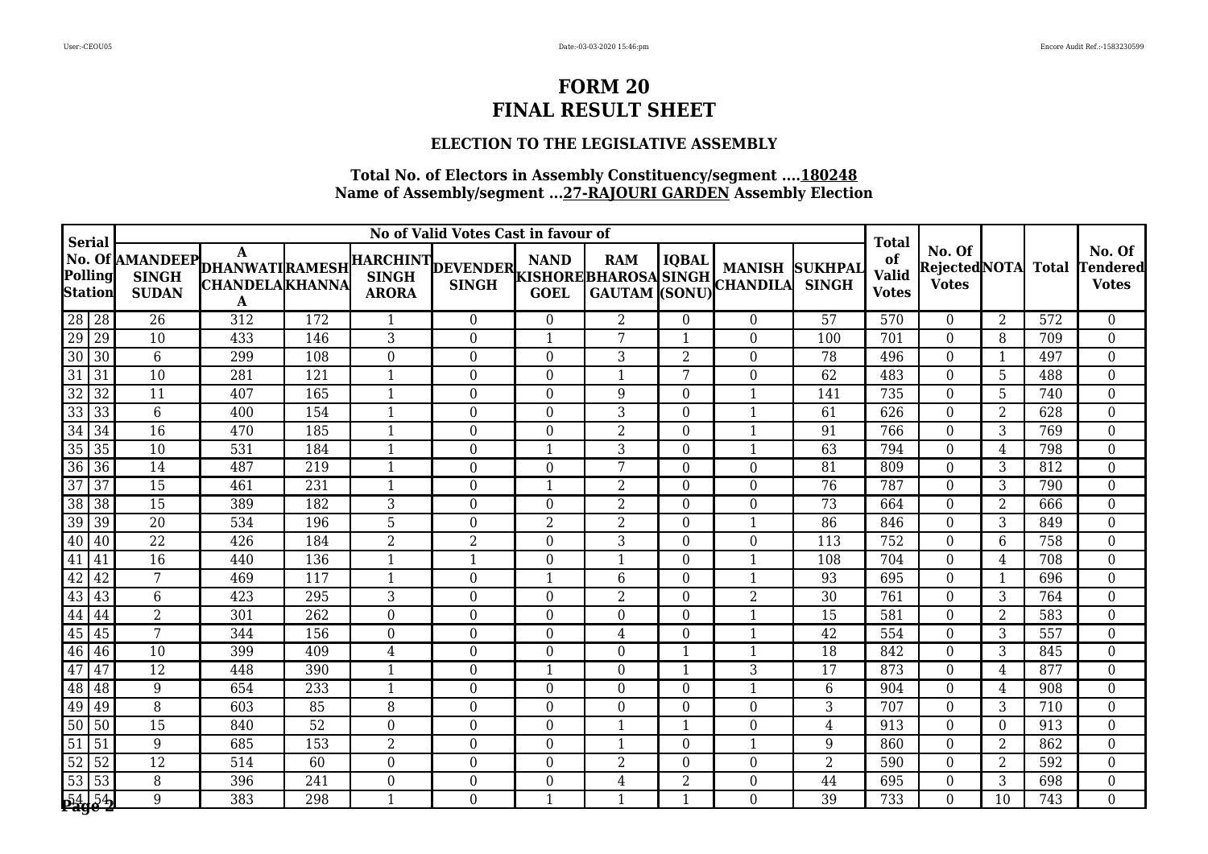#### **ELECTION TO THE LEGISLATIVE ASSEMBLY**

| <b>Serial</b>                   |                 |                              |                                                               |                  |                  | No of Valid Votes Cast in favour of     |                  |                |                |                                         |                                | <b>Total</b>                       |                                               |                |                  |                                           |
|---------------------------------|-----------------|------------------------------|---------------------------------------------------------------|------------------|------------------|-----------------------------------------|------------------|----------------|----------------|-----------------------------------------|--------------------------------|------------------------------------|-----------------------------------------------|----------------|------------------|-------------------------------------------|
| Polling<br><b>Station</b>       |                 | <b>SINGH</b><br><b>SUDAN</b> | No. Of AMANDEEP DHANWATIRAMESH<br><b>CHANDELA KHANNA</b><br>A |                  | <b>ARORA</b>     | HARCHINT DEVENDER KISHORE BHAROSA SINGH | <b>GOEL</b>      |                |                | <b>MANISH</b><br>GAUTAM (SONU) CHANDILA | <b>SUKHPAL</b><br><b>SINGH</b> | of<br><b>Valid</b><br><b>Votes</b> | No. Of<br><b>RejectedNOTA</b><br><b>Votes</b> |                | <b>Total</b>     | No. Of<br><b>Tendered</b><br><b>Votes</b> |
| 28 28<br>29 29<br>30 30         |                 | 26                           | 312                                                           | 172              | 1                | $\boldsymbol{0}$                        | $\overline{0}$   | $\overline{2}$ | $\Omega$       | $\boldsymbol{0}$                        | 57                             | 570                                | $\theta$                                      | 2              | 572              | $\boldsymbol{0}$                          |
|                                 |                 | 10                           | 433                                                           | 146              | 3                | 0                                       | $\mathbf{1}$     | 7              | $\mathbf{1}$   | $\theta$                                | 100                            | 701                                | $\Omega$                                      | 8              | 709              | $\boldsymbol{0}$                          |
|                                 |                 | 6                            | 299                                                           | 108              | $\theta$         | 0                                       | 0                | 3              | 2              | $\theta$                                | 78                             | 496                                | $\theta$                                      | -1             | 497              | $\boldsymbol{0}$                          |
| $\overline{31}$                 | 31              | $\overline{10}$              | 281                                                           | 121              | 1                | $\boldsymbol{0}$                        | $\overline{0}$   | 1              | 7              | $\overline{0}$                          | 62                             | 483                                | $\theta$                                      | 5              | 488              | $\boldsymbol{0}$                          |
| $\overline{32}$                 | $\overline{32}$ | $\overline{11}$              | 407                                                           | 165              | $\mathbf{1}$     | $\boldsymbol{0}$                        | $\boldsymbol{0}$ | 9              | $\Omega$       | $\mathbf{1}$                            | 141                            | 735                                | $\overline{0}$                                | 5              | 740              | $\boldsymbol{0}$                          |
| 33                              | 33              | $6\,$                        | 400                                                           | 154              | $\mathbf{1}$     | $\boldsymbol{0}$                        | $\boldsymbol{0}$ | 3              | $\Omega$       | $\mathbf{1}$                            | 61                             | 626                                | $\Omega$                                      | $\overline{2}$ | 628              | $\boldsymbol{0}$                          |
| $\overline{34}$                 | 34              | 16                           | 470                                                           | 185              | $\mathbf{1}$     | 0                                       | $\boldsymbol{0}$ | $\overline{2}$ | $\Omega$       | $\mathbf{1}$                            | 91                             | 766                                | $\Omega$                                      | 3              | 769              | $\boldsymbol{0}$                          |
| $\overline{35}$                 | 35              | 10                           | 531                                                           | 184              | $\overline{1}$   | $\overline{0}$                          | $\mathbf{1}$     | 3              | $\Omega$       | $\mathbf{1}$                            | 63                             | 794                                | $\overline{0}$                                | $\overline{4}$ | 798              | $\boldsymbol{0}$                          |
| $\overline{36}$                 | $\overline{36}$ | 14                           | 487                                                           | 219              | $\mathbf{1}$     | $\boldsymbol{0}$                        | $\overline{0}$   | 7              | $\Omega$       | $\overline{0}$                          | 81                             | 809                                | $\theta$                                      | 3              | 812              | $\boldsymbol{0}$                          |
| 37                              | 37              | 15                           | 461                                                           | 231              | 1                | $\boldsymbol{0}$                        | $\mathbf{1}$     | $\overline{2}$ | $\Omega$       | $\boldsymbol{0}$                        | 76                             | 787                                | $\Omega$                                      | 3              | 790              | $\boldsymbol{0}$                          |
| $\overline{38}$                 | 38              | $\overline{15}$              | 389                                                           | 182              | 3                | 0                                       | 0                | $\overline{2}$ | $\Omega$       | $\theta$                                | 73                             | 664                                | $\Omega$                                      | $\overline{2}$ | 666              | $\boldsymbol{0}$                          |
| $\frac{39}{40}$                 | 39              | 20                           | 534                                                           | 196              | 5                | $\boldsymbol{0}$                        | $\overline{2}$   | $\overline{2}$ | $\Omega$       | $\mathbf{1}$                            | 86                             | 846                                | $\theta$                                      | 3              | 849              | $\boldsymbol{0}$                          |
|                                 | 40              | $\overline{22}$              | 426                                                           | 184              | $\overline{2}$   | 2                                       | $\theta$         | 3              | $\Omega$       | $\boldsymbol{0}$                        | 113                            | 752                                | $\Omega$                                      | 6              | 758              | $\boldsymbol{0}$                          |
| 41                              | 41              | $\overline{16}$              | 440                                                           | 136              | $\mathbf{1}$     | $\mathbf{1}$                            | $\boldsymbol{0}$ | 1              | $\Omega$       | $\mathbf{1}$                            | 108                            | 704                                | $\overline{0}$                                | 4              | 708              | $\boldsymbol{0}$                          |
| $\frac{42}{43}$                 | 42              | 7                            | 469                                                           | 117              | $\overline{1}$   | $\boldsymbol{0}$                        | $\mathbf{1}$     | $6\phantom{1}$ | $\Omega$       | $\mathbf{1}$                            | 93                             | 695                                | $\overline{0}$                                | $\overline{1}$ | 696              | $\boldsymbol{0}$                          |
|                                 | 43              | 6                            | 423                                                           | 295              | 3                | 0                                       | 0                | $\overline{2}$ | $\Omega$       | $\overline{2}$                          | 30                             | 761                                | $\overline{0}$                                | 3              | 764              | $\boldsymbol{0}$                          |
| 44                              | 44              | $\overline{2}$               | 301                                                           | 262              | $\boldsymbol{0}$ | $\boldsymbol{0}$                        | $\overline{0}$   | $\overline{0}$ | $\Omega$       | $\mathbf{1}$                            | 15                             | 581                                | $\theta$                                      | $\overline{2}$ | 583              | $\boldsymbol{0}$                          |
| 45 45 46                        |                 | $\overline{7}$               | 344                                                           | 156              | $\boldsymbol{0}$ | 0                                       | $\boldsymbol{0}$ | 4              | $\Omega$       | $\mathbf{1}$                            | 42                             | 554                                | $\theta$                                      | 3              | 557              | $\boldsymbol{0}$                          |
|                                 |                 | 10                           | 399                                                           | 409              | $\bf 4$          | $\boldsymbol{0}$                        | $\boldsymbol{0}$ | $\overline{0}$ |                | $\mathbf{1}$                            | 18                             | 842                                | $\overline{0}$                                | 3              | 845              | $\boldsymbol{0}$                          |
| 47                              | 47              | $\overline{12}$              | 448                                                           | 390              | $\overline{1}$   | 0                                       | $\mathbf{1}$     | $\overline{0}$ |                | 3                                       | 17                             | 873                                | $\theta$                                      | 4              | 877              | $\boldsymbol{0}$                          |
| 48                              | 48              | 9                            | 654                                                           | $\overline{233}$ | $\overline{1}$   | $\boldsymbol{0}$                        | $\theta$         | $\overline{0}$ | $\Omega$       | 1                                       | 6                              | 904                                | $\Omega$                                      | 4              | 908              | $\boldsymbol{0}$                          |
| 49                              | 49              | 8                            | 603                                                           | 85               | 8                | 0                                       | $\theta$         | $\overline{0}$ | $\Omega$       | $\theta$                                | 3                              | 707                                | $\Omega$                                      | 3              | 710              | $\boldsymbol{0}$                          |
| $\overline{50}$                 | $\overline{50}$ | $\overline{15}$              | 840                                                           | $\overline{52}$  | $\boldsymbol{0}$ | $\boldsymbol{0}$                        | $\boldsymbol{0}$ | $\mathbf{1}$   |                | $\overline{0}$                          | 4                              | 913                                | $\overline{0}$                                | $\Omega$       | 913              | $\boldsymbol{0}$                          |
| $\overline{51}$                 | $\vert$ 51      | 9                            | 685                                                           | 153              | $\overline{2}$   | $\boldsymbol{0}$                        | $\boldsymbol{0}$ |                | $\Omega$       | $\mathbf{1}$                            | 9                              | 860                                | $\overline{0}$                                | $\overline{2}$ | 862              | $\boldsymbol{0}$                          |
| $\overline{52}$                 | $\sqrt{52}$     | 12                           | 514                                                           | 60               | $\boldsymbol{0}$ | 0                                       | $\boldsymbol{0}$ | 2              | $\Omega$       | $\boldsymbol{0}$                        | 2                              | 590                                | $\theta$                                      | 2              | 592              | $\overline{0}$                            |
|                                 |                 | $\, 8$                       | 396                                                           | 241              | $\boldsymbol{0}$ | $\boldsymbol{0}$                        | $\boldsymbol{0}$ | $\overline{4}$ | $\overline{2}$ | $\boldsymbol{0}$                        | 44                             | 695                                | $\Omega$                                      | 3              | 698              | $\boldsymbol{0}$                          |
| $\frac{53}{53}$ $\frac{53}{54}$ |                 | 9                            | 383                                                           | 298              |                  | $\overline{0}$                          | $\mathbf{1}$     | $\mathbf{1}$   |                | $\Omega$                                | $\overline{39}$                | 733                                | $\Omega$                                      | 10             | $\overline{743}$ | $\overline{0}$                            |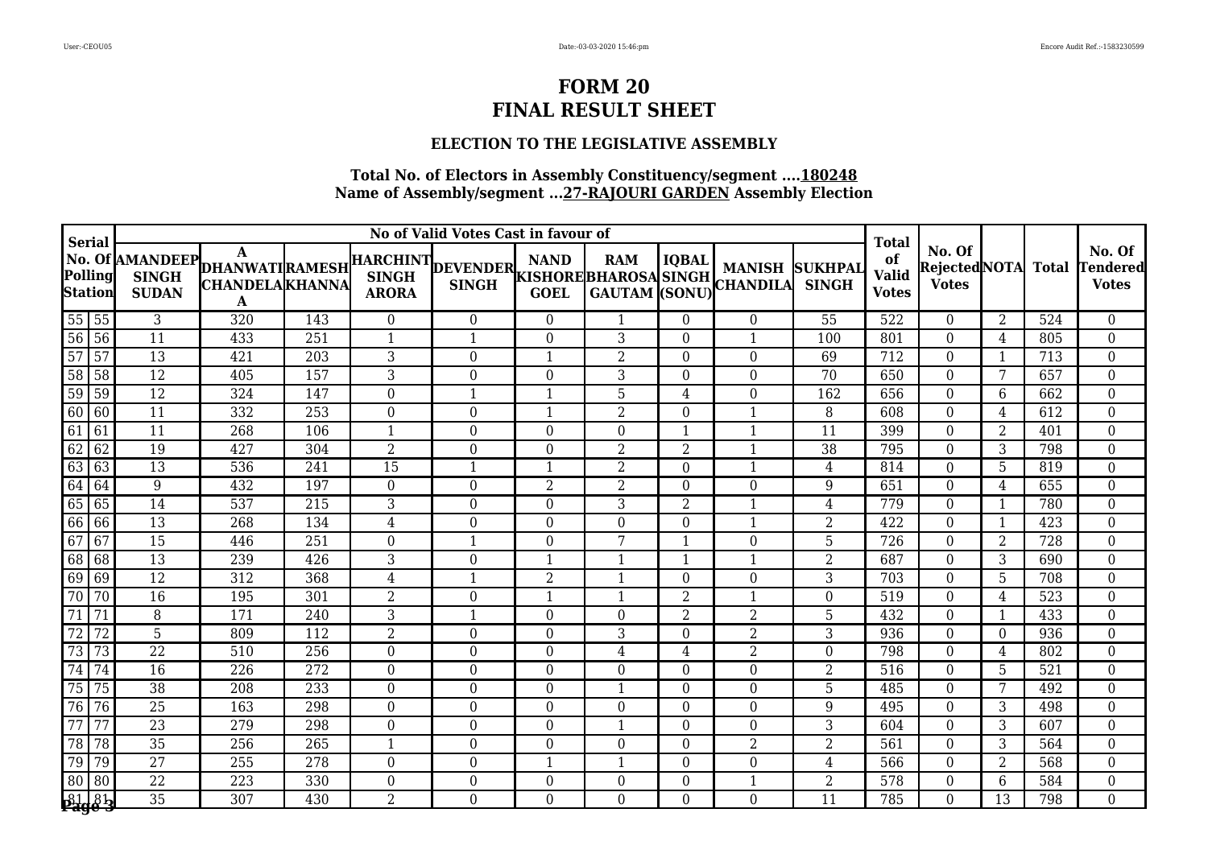### **ELECTION TO THE LEGISLATIVE ASSEMBLY**

| <b>Serial</b>                                                                                                |                 |                              |                                                                          | <b>Total</b>     |                  |                                           |                  |                  |                |                         |                                |                                    |                                                |                |                  |                                    |
|--------------------------------------------------------------------------------------------------------------|-----------------|------------------------------|--------------------------------------------------------------------------|------------------|------------------|-------------------------------------------|------------------|------------------|----------------|-------------------------|--------------------------------|------------------------------------|------------------------------------------------|----------------|------------------|------------------------------------|
| Polling<br><b>Station</b>                                                                                    |                 | <b>SINGH</b><br><b>SUDAN</b> | No. Of AMANDEEP DHANWATI RAMESH<br><b>CHANDELA KHANNA</b><br>$\mathbf A$ |                  |                  | HARCHINT DEVENDER NAND NAND WANTED MANISH |                  |                  |                |                         | <b>SUKHPAL</b><br><b>SINGH</b> | of<br><b>Valid</b><br><b>Votes</b> | No. Of<br><b>Rejected</b> NOTA<br><b>Votes</b> |                | <b>Total</b>     | No. Of<br>[endered<br><b>Votes</b> |
| $55\overline{5}5$                                                                                            |                 | 3                            | 320                                                                      | 143              | $\overline{0}$   | $\overline{0}$                            | $\theta$         | 1                | $\Omega$       | $\theta$                | 55                             | 522                                | $\Omega$                                       | 2              | 524              | $\overline{0}$                     |
| $56$ 56                                                                                                      |                 | $\overline{11}$              | 433                                                                      | 251              | $\mathbf{1}$     | 1                                         | $\theta$         | 3                | $\Omega$       | $\overline{1}$          | 100                            | 801                                | 0                                              | 4              | 805              | $\overline{0}$                     |
| 57                                                                                                           | $\overline{57}$ | $\overline{13}$              | 421                                                                      | $\overline{203}$ | 3                | $\boldsymbol{0}$                          | 1                | $\overline{2}$   | $\Omega$       | $\boldsymbol{0}$        | 69                             | 712                                | $\overline{0}$                                 | $\mathbf 1$    | 713              | $\boldsymbol{0}$                   |
| $\overline{58}$                                                                                              | $\overline{58}$ | $\overline{12}$              | 405                                                                      | 157              | 3                | $\overline{0}$                            | $\theta$         | $\overline{3}$   | $\Omega$       | $\theta$                | 70                             | 650                                | $\Omega$                                       | 7              | 657              | $\boldsymbol{0}$                   |
| 59                                                                                                           | 59              | $\overline{12}$              | 324                                                                      | 147              | $\boldsymbol{0}$ | 1                                         | $\mathbf{1}$     | 5                | 4              | $\theta$                | 162                            | 656                                | 0                                              | 6              | 662              | $\boldsymbol{0}$                   |
| $\begin{array}{ c c c }\hline \rule{0pt}{1em}60 & 60 \\ \hline \rule{0pt}{1em}61 & 61 \\ \hline \end{array}$ |                 | $\overline{11}$              | 332                                                                      | 253              | $\boldsymbol{0}$ | $\overline{0}$                            | $\mathbf{1}$     | $\overline{2}$   | $\Omega$       | $\mathbf 1$             | 8                              | 608                                | $\overline{0}$                                 | 4              | 612              | $\boldsymbol{0}$                   |
|                                                                                                              |                 | 11                           | 268                                                                      | 106              | $\mathbf 1$      | $\boldsymbol{0}$                          | $\overline{0}$   | $\boldsymbol{0}$ |                | 1                       | 11                             | 399                                | $\theta$                                       | 2              | 401              | $\boldsymbol{0}$                   |
| $\overline{62}$                                                                                              | 62              | 19                           | 427                                                                      | 304              | $\overline{2}$   | $\boldsymbol{0}$                          | $\overline{0}$   | $\overline{2}$   | 2              | $\mathbf{1}$            | 38                             | 795                                | $\Omega$                                       | 3              | 798              | $\boldsymbol{0}$                   |
| $\frac{63}{64}$                                                                                              | $\sqrt{63}$     | $\overline{13}$              | $\overline{536}$                                                         | 241              | $\overline{15}$  | 1                                         | $\mathbf{1}$     | $\overline{2}$   | $\Omega$       | $\overline{1}$          | 4                              | 814                                | $\Omega$                                       | 5              | 819              | $\boldsymbol{0}$                   |
|                                                                                                              | $\sqrt{64}$     | 9                            | 432                                                                      | 197              | $\boldsymbol{0}$ | $\boldsymbol{0}$                          | $\overline{2}$   | $\,2$            | $\Omega$       | $\boldsymbol{0}$        | 9                              | 651                                | $\theta$                                       | 4              | 655              | $\boldsymbol{0}$                   |
| $\overline{65}$                                                                                              | 65              | 14                           | 537                                                                      | 215              | 3                | $\overline{0}$                            | $\theta$         | 3                | 2              | $\overline{\mathbf{1}}$ | 4                              | 779                                | $\Omega$                                       | $\mathbf 1$    | 780              | $\boldsymbol{0}$                   |
| 66 66<br>67 67                                                                                               |                 | $\overline{13}$              | 268                                                                      | 134              | $\overline{4}$   | $\boldsymbol{0}$                          | $\overline{0}$   | $\boldsymbol{0}$ | $\Omega$       | $\mathbf{1}$            | $\overline{2}$                 | 422                                | $\Omega$                                       | -1             | 423              | $\boldsymbol{0}$                   |
|                                                                                                              |                 | $\overline{15}$              | 446                                                                      | $\overline{251}$ | $\boldsymbol{0}$ | $\mathbf{1}$                              | $\boldsymbol{0}$ | $\overline{7}$   |                | $\boldsymbol{0}$        | 5                              | 726                                | $\overline{0}$                                 | $\overline{2}$ | $\overline{728}$ | $\boldsymbol{0}$                   |
| $\overline{68}$                                                                                              | 68              | $\overline{13}$              | 239                                                                      | 426              | 3                | $\overline{0}$                            | $\mathbf{1}$     | $\mathbf{1}$     |                | $\mathbf{1}$            | $\overline{2}$                 | 687                                | $\overline{0}$                                 | 3              | 690              | $\boldsymbol{0}$                   |
| $\frac{69}{70}$                                                                                              | $\sqrt{69}$     | 12                           | 312                                                                      | 368              | 4                | 1                                         | $\overline{2}$   | $\mathbf{1}$     | $\Omega$       | $\theta$                | 3                              | 703                                | $\Omega$                                       | 5              | 708              | $\boldsymbol{0}$                   |
|                                                                                                              | $\overline{70}$ | $\overline{16}$              | 195                                                                      | 301              | $\overline{2}$   | $\overline{0}$                            | $\overline{1}$   | $\mathbf{1}$     | 2              | $\mathbf{1}$            | $\theta$                       | 519                                | $\Omega$                                       | 4              | 523              | $\boldsymbol{0}$                   |
| $\overline{71}$                                                                                              | $\overline{71}$ | 8                            | 171                                                                      | 240              | $\overline{3}$   | 1                                         | $\overline{0}$   | $\boldsymbol{0}$ | $\overline{2}$ | $\overline{2}$          | 5                              | 432                                | $\overline{0}$                                 | -1             | 433              | $\boldsymbol{0}$                   |
| $\overline{72}$                                                                                              | $\overline{72}$ | 5                            | 809                                                                      | 112              | $\overline{2}$   | 0                                         | $\theta$         | $\overline{3}$   | $\Omega$       | $\overline{2}$          | 3                              | 936                                | 0                                              | $\theta$       | 936              | $\overline{0}$                     |
| $\overline{73}$                                                                                              | 73              | 22                           | 510                                                                      | 256              | $\boldsymbol{0}$ | $\overline{0}$                            | $\overline{0}$   | $\overline{4}$   | 4              | $\overline{2}$          | $\overline{0}$                 | 798                                | $\Omega$                                       | 4              | 802              | $\boldsymbol{0}$                   |
| $\overline{74}$                                                                                              | $\overline{74}$ | $\overline{16}$              | $\overline{226}$                                                         | $\overline{272}$ | $\boldsymbol{0}$ | $\overline{0}$                            | $\boldsymbol{0}$ | $\boldsymbol{0}$ | $\Omega$       | $\boldsymbol{0}$        | $\overline{2}$                 | 516                                | $\Omega$                                       | 5              | $\overline{521}$ | $\boldsymbol{0}$                   |
| $\overline{75}$                                                                                              | 75              | $\overline{38}$              | 208                                                                      | 233              | $\boldsymbol{0}$ | $\boldsymbol{0}$                          | $\overline{0}$   | $\mathbf{1}$     | $\Omega$       | $\overline{0}$          | 5                              | 485                                | $\overline{0}$                                 | 7              | 492              | $\boldsymbol{0}$                   |
| $\overline{76}$                                                                                              | 76              | $\overline{25}$              | 163                                                                      | 298              | $\boldsymbol{0}$ | $\overline{0}$                            | $\theta$         | $\boldsymbol{0}$ | $\Omega$       | $\theta$                | 9                              | 495                                | 0                                              | 3              | 498              | $\boldsymbol{0}$                   |
| 77                                                                                                           | 77              | $\overline{23}$              | 279                                                                      | 298              | $\boldsymbol{0}$ | $\overline{0}$                            | $\theta$         | 1                | $\Omega$       | $\theta$                | 3                              | 604                                | 0                                              | 3              | 607              | $\boldsymbol{0}$                   |
| $\overline{78}$                                                                                              | $\sqrt{78}$     | $\overline{35}$              | 256                                                                      | $\overline{265}$ | $\mathbf{1}$     | $\boldsymbol{0}$                          | $\boldsymbol{0}$ | $\boldsymbol{0}$ | $\Omega$       | $\overline{2}$          | $\overline{2}$                 | 561                                | $\overline{0}$                                 | 3              | 564              | $\overline{0}$                     |
| $\overline{79}$                                                                                              | 79              | $\overline{27}$              | 255                                                                      | 278              | $\boldsymbol{0}$ | $\overline{0}$                            | $\mathbf{1}$     | $\mathbf{1}$     | $\Omega$       | $\theta$                | 4                              | 566                                | $\Omega$                                       | $\overline{2}$ | 568              | $\boldsymbol{0}$                   |
| $\overline{80}$                                                                                              | 80              | $\overline{22}$              | 223                                                                      | 330              | $\boldsymbol{0}$ | $\boldsymbol{0}$                          | $\overline{0}$   | $\boldsymbol{0}$ | $\Omega$       |                         | $\overline{2}$                 | 578                                | $\Omega$                                       | 6              | 584              | $\boldsymbol{0}$                   |
| 8181                                                                                                         |                 | $\overline{35}$              | 307                                                                      | 430              | $\overline{2}$   | $\overline{0}$                            | $\overline{0}$   | $\overline{0}$   | $\Omega$       | $\Omega$                | 11                             | 785                                | 0                                              | 13             | 798              | $\overline{0}$                     |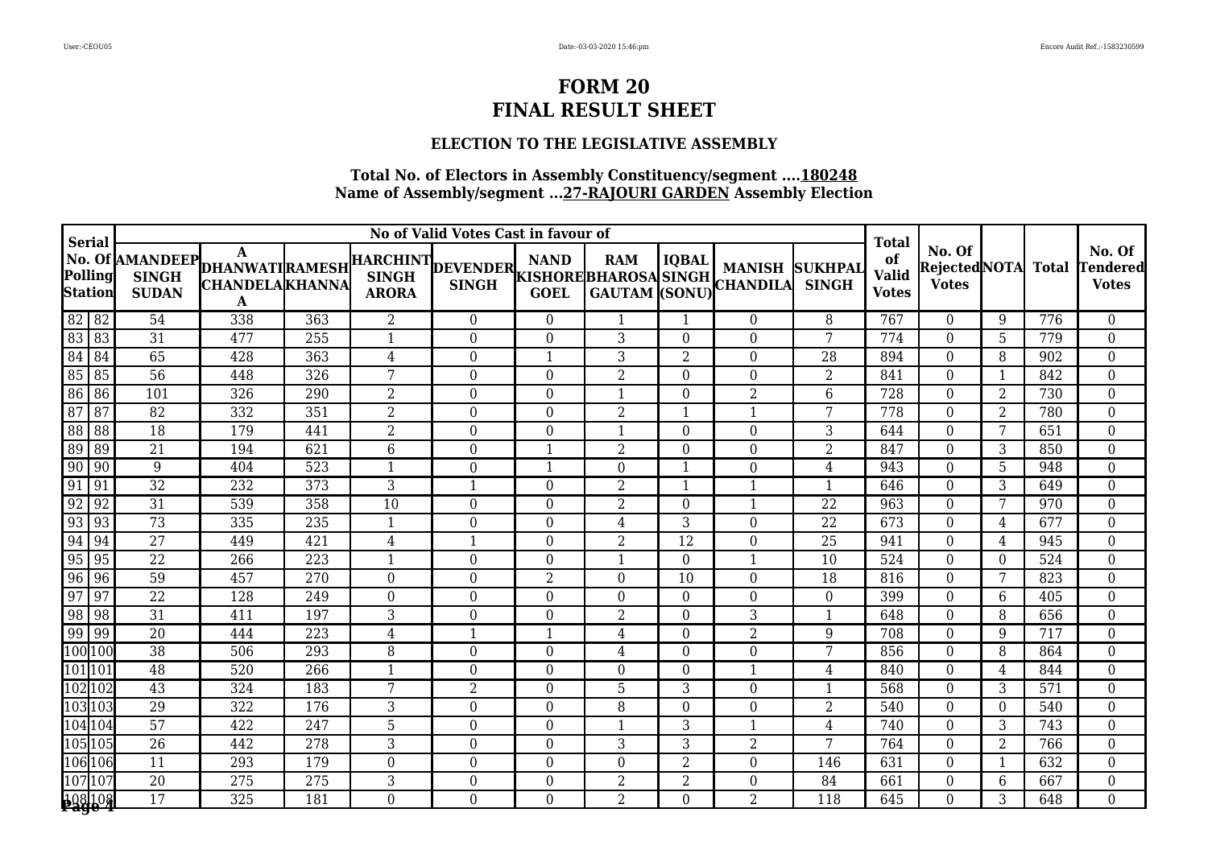### **ELECTION TO THE LEGISLATIVE ASSEMBLY**

| <b>Serial</b>                                                                     | No of Valid Votes Cast in favour of |                                                               |                  |                          |                                           |                  |                |                |                  |                                |                                             |                                                |                |              |                                           |
|-----------------------------------------------------------------------------------|-------------------------------------|---------------------------------------------------------------|------------------|--------------------------|-------------------------------------------|------------------|----------------|----------------|------------------|--------------------------------|---------------------------------------------|------------------------------------------------|----------------|--------------|-------------------------------------------|
| Polling<br><b>Station</b>                                                         | <b>SINGH</b><br><b>SUDAN</b>        | No. Of AMANDEEP DHANWATI RAMESH<br><b>CHANDELAKHANNA</b><br>A |                  |                          | HARCHINT DEVENDER NAND NAND SINGH MAINISM |                  |                |                |                  | <b>SUKHPAI</b><br><b>SINGH</b> | Total<br>of<br><b>Valid</b><br><b>Votes</b> | No. Of<br><b>Rejected</b> NOTA<br><b>Votes</b> |                | <b>Total</b> | No. Of<br><b>Tendered</b><br><b>Votes</b> |
| 82 82                                                                             | 54                                  | 338                                                           | 363              | $\overline{2}$           | $\overline{0}$                            | $\theta$         | 1              | 1              | $\theta$         | 8                              | 767                                         | $\Omega$                                       | 9              | 776          | $\boldsymbol{0}$                          |
| 83 83                                                                             | 31                                  | 477                                                           | 255              | $\mathbf{1}$             | $\overline{0}$                            | $\overline{0}$   | 3              | $\Omega$       | $\overline{0}$   | 7                              | 774                                         | $\Omega$                                       | 5              | 779          | $\boldsymbol{0}$                          |
| $\begin{array}{ c c }\n\hline\n84 & 84 \\ \hline\n85 & 85 \\ \hline\n\end{array}$ | 65                                  | 428                                                           | 363              | $\overline{4}$           | 0                                         | $\mathbf{1}$     | 3              | $\overline{2}$ | $\boldsymbol{0}$ | 28                             | 894                                         | $\Omega$                                       | 8              | 902          | $\overline{0}$                            |
|                                                                                   | $\overline{56}$                     | 448                                                           | 326              | 7                        | 0                                         | $\boldsymbol{0}$ | 2              | $\Omega$       | $\theta$         | 2                              | 841                                         | $\Omega$                                       |                | 842          | $\overline{0}$                            |
| $\overline{86}$<br> 86                                                            | 101                                 | 326                                                           | 290              | $\overline{2}$           | $\overline{0}$                            | $\overline{0}$   |                | $\Omega$       | $\overline{2}$   | 6                              | 728                                         | $\Omega$                                       | $\overline{2}$ | 730          | $\boldsymbol{0}$                          |
| $\frac{87}{88}$<br>$\sqrt{87}$                                                    | $\overline{82}$                     | 332                                                           | 351              | $\overline{2}$           | $\boldsymbol{0}$                          | $\boldsymbol{0}$ | $\overline{2}$ |                | $\mathbf{1}$     | 7                              | 778                                         | $\overline{0}$                                 | $\overline{2}$ | 780          | $\boldsymbol{0}$                          |
| $\overline{\phantom{1}88}$                                                        | 18                                  | 179                                                           | 441              | $\overline{2}$           | $\boldsymbol{0}$                          | $\boldsymbol{0}$ | 1              | $\Omega$       | $\boldsymbol{0}$ | 3                              | 644                                         | $\Omega$                                       | 7              | 651          | $\boldsymbol{0}$                          |
| $\overline{89}$<br>89                                                             | 21                                  | 194                                                           | 621              | $6\phantom{.}6$          | $\boldsymbol{0}$                          | $\mathbf{1}$     | $\overline{2}$ | $\Omega$       | $\theta$         | 2                              | 847                                         | $\Omega$                                       | 3              | 850          | $\boldsymbol{0}$                          |
| $\boxed{90}$ 90                                                                   | 9                                   | 404                                                           | 523              | $\overline{\phantom{a}}$ | 0                                         | $\mathbf{1}$     | $\overline{0}$ |                | $\boldsymbol{0}$ | 4                              | 943                                         | $\theta$                                       | 5              | 948          | $\boldsymbol{0}$                          |
| 91<br>  91                                                                        | $\overline{32}$                     | 232                                                           | $\overline{373}$ | 3                        | 1                                         | $\theta$         | $\overline{2}$ |                | 1                | $\mathbf{1}$                   | 646                                         | $\Omega$                                       | 3              | 649          | $\boldsymbol{0}$                          |
| 92<br>$\sqrt{92}$                                                                 | 31                                  | 539                                                           | 358              | 10                       | 0                                         | 0                | $\overline{2}$ | $\Omega$       | $\mathbf{1}$     | 22                             | 963                                         | $\Omega$                                       | 7              | 970          | $\boldsymbol{0}$                          |
| 93 93<br>94 94                                                                    | 73                                  | 335                                                           | 235              | 1                        | $\boldsymbol{0}$                          | $\mathbf{0}$     | $\overline{4}$ | $\overline{3}$ | $\boldsymbol{0}$ | $\overline{22}$                | 673                                         | $\overline{0}$                                 | 4              | 677          | $\boldsymbol{0}$                          |
|                                                                                   | $\overline{27}$                     | 449                                                           | 421              | $\overline{4}$           | $\mathbf{1}$                              | $\boldsymbol{0}$ | $\overline{2}$ | 12             | $\boldsymbol{0}$ | 25                             | 941                                         | $\Omega$                                       | 4              | 945          | $\boldsymbol{0}$                          |
| 95<br> 95                                                                         | 22                                  | 266                                                           | 223              | 1                        | $\boldsymbol{0}$                          | 0                | 1              | $\Omega$       | $\mathbf{1}$     | 10                             | 524                                         | $\Omega$                                       | $\Omega$       | 524          | $\boldsymbol{0}$                          |
| $\frac{96}{97}$<br> 96                                                            | 59                                  | 457                                                           | 270              | $\mathbf{0}$             | $\boldsymbol{0}$                          | $\overline{2}$   | $\Omega$       | 10             | $\overline{0}$   | 18                             | 816                                         | $\Omega$                                       | 7              | 823          | $\boldsymbol{0}$                          |
| $\sqrt{97}$                                                                       | $\overline{22}$                     | 128                                                           | 249              | $\theta$                 | $\theta$                                  | $\overline{0}$   | $\Omega$       | $\Omega$       | $\theta$         | $\Omega$                       | 399                                         | $\theta$                                       | 6              | 405          | $\boldsymbol{0}$                          |
| 98 98                                                                             | $\overline{31}$                     | 411                                                           | 197              | 3                        | 0                                         | $\boldsymbol{0}$ | $\overline{2}$ | $\Omega$       | 3                | $\overline{\mathbf{1}}$        | 648                                         | $\theta$                                       | 8              | 656          | $\boldsymbol{0}$                          |
| $\overline{99}$<br>$\sqrt{99}$                                                    | 20                                  | 444                                                           | 223              | 4                        | 1                                         | $\mathbf{1}$     | 4              | $\Omega$       | $\overline{2}$   | 9                              | 708                                         | $\Omega$                                       | 9              | 717          | $\boldsymbol{0}$                          |
| 100 100                                                                           | 38                                  | 506                                                           | 293              | 8                        | $\boldsymbol{0}$                          | 0                | 4              | $\Omega$       | $\boldsymbol{0}$ | 7                              | 856                                         | $\theta$                                       | 8              | 864          | $\boldsymbol{0}$                          |
| $101$ $101$                                                                       | 48                                  | 520                                                           | 266              | 1                        | 0                                         | $\theta$         | $\overline{0}$ | $\Omega$       | $\mathbf 1$      | 4                              | 840                                         | $\Omega$                                       | 4              | 844          | $\boldsymbol{0}$                          |
| 102 102                                                                           | $\overline{43}$                     | 324                                                           | 183              | 7                        | 2                                         | $\overline{0}$   | 5              | 3              | $\theta$         | 1                              | 568                                         | $\Omega$                                       | 3              | 571          | $\boldsymbol{0}$                          |
| 103 103                                                                           | 29                                  | 322                                                           | 176              | 3                        | 0                                         | 0                | 8              | $\theta$       | $\boldsymbol{0}$ | 2                              | 540                                         | $\overline{0}$                                 | $\Omega$       | 540          | $\boldsymbol{0}$                          |
| 104 104                                                                           | $\overline{57}$                     | 422                                                           | 247              | 5                        | $\boldsymbol{0}$                          | $\boldsymbol{0}$ |                | 3              | $\mathbf 1$      | 4                              | 740                                         | $\theta$                                       | $\overline{3}$ | 743          | $\boldsymbol{0}$                          |
| 105 105                                                                           | 26                                  | 442                                                           | 278              | 3                        | 0                                         | $\theta$         | 3              | 3              | $\overline{2}$   | 7                              | 764                                         | $\overline{0}$                                 | $\overline{2}$ | 766          | $\boldsymbol{0}$                          |
| 106 106                                                                           | 11                                  | 293                                                           | 179              | $\boldsymbol{0}$         | 0                                         | $\boldsymbol{0}$ | $\overline{0}$ | 2              | $\boldsymbol{0}$ | 146                            | 631                                         | $\theta$                                       |                | 632          | $\boldsymbol{0}$                          |
| 107 107                                                                           | $\overline{20}$                     | 275                                                           | 275              | 3                        | $\boldsymbol{0}$                          | $\boldsymbol{0}$ | $\overline{2}$ | $\overline{2}$ | $\theta$         | 84                             | 661                                         | $\Omega$                                       | 6              | 667          | $\boldsymbol{0}$                          |
| 108 108                                                                           | $\overline{17}$                     | 325                                                           | 181              | $\Omega$                 | $\overline{0}$                            | $\theta$         | $\overline{2}$ | 0              | $\overline{2}$   | $\overline{118}$               | 645                                         | $\Omega$                                       | 3              | 648          | $\overline{0}$                            |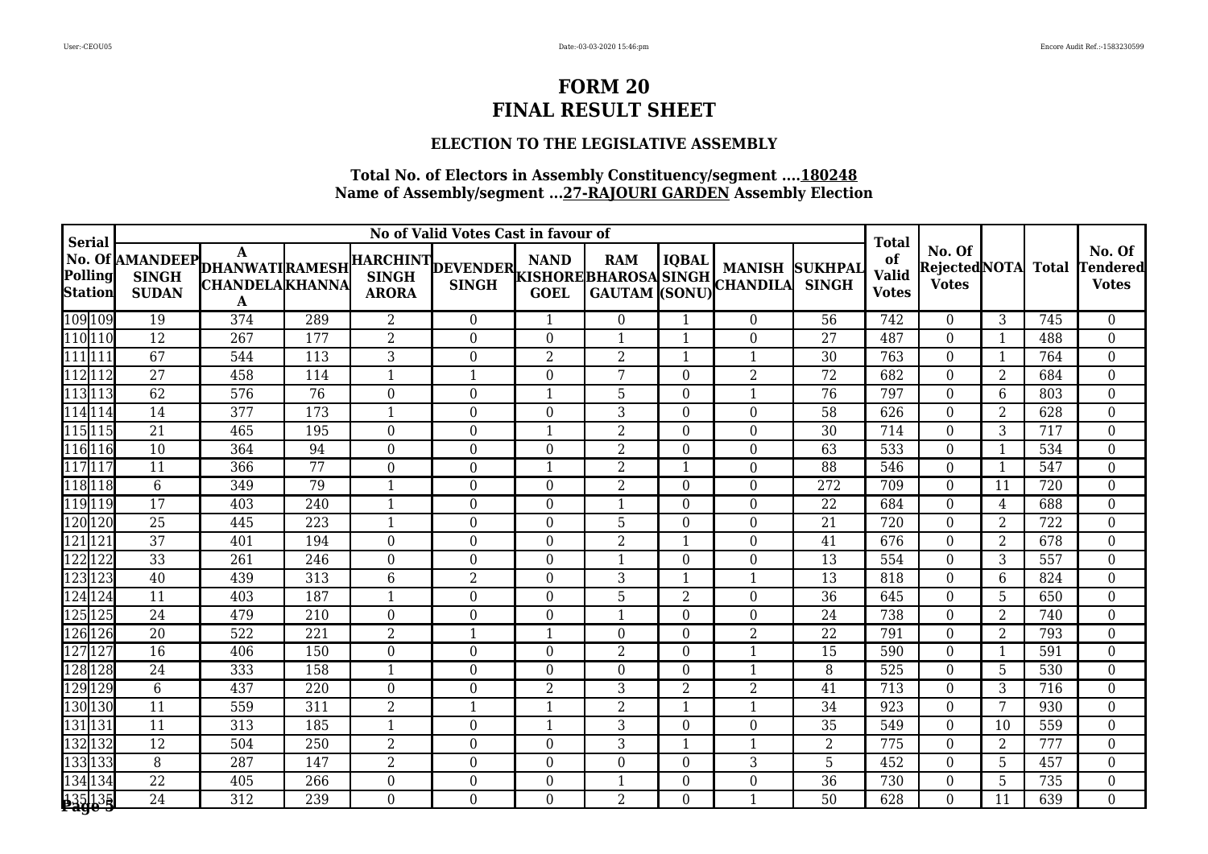### **ELECTION TO THE LEGISLATIVE ASSEMBLY**

| <b>Serial</b>             |                              |                                                                          |     |                  | No of Valid Votes Cast in favour of |                            |                                     |                |                                         |                                | <b>Total</b>                       |                                         |                |              | No. Of<br><b>Tendered</b><br><b>Votes</b> |
|---------------------------|------------------------------|--------------------------------------------------------------------------|-----|------------------|-------------------------------------|----------------------------|-------------------------------------|----------------|-----------------------------------------|--------------------------------|------------------------------------|-----------------------------------------|----------------|--------------|-------------------------------------------|
| Polling<br><b>Station</b> | <b>SINGH</b><br><b>SUDAN</b> | No. Of AMANDEEP DHANWATI RAMESH<br><b>CHANDELA</b> KHANNA<br>$\mathbf A$ |     | <b>ARORA</b>     | HARCHINT DEVENDER<br><b>SINGH</b>   | <b>NAND</b><br><b>GOEL</b> | <b>RAM</b><br>KISHORE BHAROSA SINGH | <b>IQBAL</b>   | <b>MANISH</b><br>GAUTAM (SONU) CHANDILA | <b>SUKHPAI</b><br><b>SINGH</b> | of<br><b>Valid</b><br><b>Votes</b> | No. Of<br>Rejected NOTA<br><b>Votes</b> |                | <b>Total</b> |                                           |
| 109 109                   | 19                           | 374                                                                      | 289 | $\overline{2}$   | $\overline{0}$                      | -1                         | $\overline{0}$                      | $\mathbf 1$    | $\theta$                                | 56                             | 742                                | $\Omega$                                | 3              | 745          | $\overline{0}$                            |
| 110 110                   | $\overline{12}$              | $\overline{267}$                                                         | 177 | $\overline{2}$   | $\overline{0}$                      | $\Omega$                   | $\mathbf{1}$                        | -1             | $\Omega$                                | $\overline{27}$                | 487                                | $\Omega$                                | 1              | 488          | $\boldsymbol{0}$                          |
| $111$ <sup>11</sup>       | 67                           | 544                                                                      | 113 | 3                | $\overline{0}$                      | $\overline{2}$             | $\overline{2}$                      | -1             | $\mathbf{1}$                            | 30                             | 763                                | $\overline{0}$                          | 1              | 764          | $\boldsymbol{0}$                          |
| 112112                    | $\overline{27}$              | 458                                                                      | 114 | $\mathbf{1}$     | 1                                   | $\Omega$                   | 7                                   | $\Omega$       | $\overline{2}$                          | 72                             | 682                                | $\Omega$                                | 2              | 684          | $\overline{0}$                            |
| 113 113                   | 62                           | $\overline{576}$                                                         | 76  | $\boldsymbol{0}$ | $\boldsymbol{0}$                    | $\mathbf{1}$               | 5                                   | $\Omega$       | $\mathbf{1}$                            | 76                             | 797                                | $\Omega$                                | 6              | 803          | $\overline{0}$                            |
| 114 114                   | $\overline{14}$              | 377                                                                      | 173 | $\mathbf{1}$     | $\boldsymbol{0}$                    | $\boldsymbol{0}$           | $\mathfrak{Z}$                      | $\Omega$       | $\boldsymbol{0}$                        | 58                             | 626                                | $\overline{0}$                          | $\overline{2}$ | 628          | $\boldsymbol{0}$                          |
| 115115                    | 21                           | 465                                                                      | 195 | $\boldsymbol{0}$ | $\boldsymbol{0}$                    | $\mathbf{1}$               | $\overline{2}$                      | $\Omega$       | $\overline{0}$                          | 30                             | 714                                | $\Omega$                                | 3              | 717          | $\boldsymbol{0}$                          |
| 116 116                   | 10                           | 364                                                                      | 94  | $\boldsymbol{0}$ | $\boldsymbol{0}$                    | $\overline{0}$             | $\overline{2}$                      | $\Omega$       | $\overline{0}$                          | 63                             | 533                                | $\Omega$                                | $\mathbf{1}$   | 534          | $\overline{0}$                            |
| 117 117                   | $\overline{11}$              | 366                                                                      | 77  | $\overline{0}$   | $\overline{0}$                      | $\mathbf{1}$               | $\overline{2}$                      | -1             | $\Omega$                                | $\overline{88}$                | 546                                | $\Omega$                                | $\overline{1}$ | 547          | $\boldsymbol{0}$                          |
| 118118                    | $6\phantom{.}6$              | 349                                                                      | 79  | $\mathbf{1}$     | $\boldsymbol{0}$                    | $\boldsymbol{0}$           | $\overline{2}$                      | $\Omega$       | $\boldsymbol{0}$                        | 272                            | 709                                | $\overline{0}$                          | 11             | 720          | $\boldsymbol{0}$                          |
| 119119                    | $\overline{17}$              | 403                                                                      | 240 | $\mathbf{1}$     | $\overline{0}$                      | $\Omega$                   | 1                                   | $\Omega$       | 0                                       | 22                             | 684                                | $\theta$                                | 4              | 688          | $\boldsymbol{0}$                          |
| 120 120                   | 25                           | 445                                                                      | 223 | $\mathbf{1}$     | $\boldsymbol{0}$                    | $\overline{0}$             | 5                                   | $\Omega$       | $\overline{0}$                          | $\overline{21}$                | 720                                | $\Omega$                                | $\overline{2}$ | 722          | $\boldsymbol{0}$                          |
| 121 121                   | $\overline{37}$              | 401                                                                      | 194 | $\boldsymbol{0}$ | $\mathbf{0}$                        | $\overline{0}$             | $\overline{2}$                      |                | $\boldsymbol{0}$                        | 41                             | 676                                | $\overline{0}$                          | $\overline{2}$ | 678          | $\boldsymbol{0}$                          |
| 122122                    | 33                           | 261                                                                      | 246 | $\boldsymbol{0}$ | $\boldsymbol{0}$                    | $\boldsymbol{0}$           | $\mathbf{1}$                        | $\Omega$       | $\boldsymbol{0}$                        | 13                             | 554                                | $\Omega$                                | 3              | 557          | $\boldsymbol{0}$                          |
| 123123                    | 40                           | 439                                                                      | 313 | 6                | 2                                   | $\Omega$                   | 3                                   | -1             | $\mathbf{1}$                            | 13                             | 818                                | $\Omega$                                | 6              | 824          | $\boldsymbol{0}$                          |
| 124 124                   | $\overline{11}$              | 403                                                                      | 187 | $\mathbf{1}$     | $\boldsymbol{0}$                    | $\overline{0}$             | 5                                   | $\overline{2}$ | $\overline{0}$                          | 36                             | 645                                | $\Omega$                                | 5              | 650          | $\boldsymbol{0}$                          |
| 125 125                   | $\overline{24}$              | 479                                                                      | 210 | $\mathbf{0}$     | $\boldsymbol{0}$                    | $\overline{0}$             | $\mathbf{1}$                        | $\Omega$       | $\boldsymbol{0}$                        | 24                             | 738                                | $\Omega$                                | $\overline{2}$ | 740          | $\boldsymbol{0}$                          |
| 126 126                   | 20                           | 522                                                                      | 221 | $\overline{2}$   | $\mathbf{1}$                        | $\mathbf{1}$               | $\overline{0}$                      | $\Omega$       | $\overline{2}$                          | 22                             | 791                                | $\Omega$                                | $\overline{2}$ | 793          | $\boldsymbol{0}$                          |
| 127127                    | 16                           | 406                                                                      | 150 | $\bf{0}$         | $\overline{0}$                      | $\Omega$                   | $\overline{2}$                      | $\Omega$       | $\mathbf{1}$                            | 15                             | 590                                | $\Omega$                                | $\mathbf 1$    | 591          | $\boldsymbol{0}$                          |
| 128 128                   | $\overline{24}$              | 333                                                                      | 158 | $\mathbf{1}$     | $\overline{0}$                      | $\Omega$                   | $\overline{0}$                      | $\Omega$       | $\overline{1}$                          | 8                              | 525                                | $\Omega$                                | 5              | 530          | $\overline{0}$                            |
| 129 129                   | $6\,$                        | 437                                                                      | 220 | $\boldsymbol{0}$ | $\boldsymbol{0}$                    | $\overline{2}$             | 3                                   | $\overline{2}$ | $\overline{2}$                          | 41                             | 713                                | $\overline{0}$                          | 3              | 716          | $\boldsymbol{0}$                          |
| 130 130                   | $\overline{11}$              | 559                                                                      | 311 | $\overline{2}$   | 1                                   | $\mathbf{1}$               | $\overline{2}$                      | -1             | $\mathbf{1}$                            | $\overline{34}$                | 923                                | $\Omega$                                | 7              | 930          | $\boldsymbol{0}$                          |
| 131131                    | 11                           | 313                                                                      | 185 | $\mathbf{1}$     | $\overline{0}$                      | $\overline{\phantom{a}}$   | 3                                   | $\Omega$       | $\theta$                                | 35                             | 549                                | $\Omega$                                | 10             | 559          | $\boldsymbol{0}$                          |
| 132 132                   | $\overline{12}$              | 504                                                                      | 250 | $\overline{2}$   | $\boldsymbol{0}$                    | $\boldsymbol{0}$           | 3                                   | -1             | $\overline{1}$                          | $\overline{2}$                 | 775                                | $\overline{0}$                          | $\overline{2}$ | 777          | $\boldsymbol{0}$                          |
| 133133                    | $\boldsymbol{8}$             | 287                                                                      | 147 | $\overline{2}$   | $\boldsymbol{0}$                    | $\overline{0}$             | $\overline{0}$                      | $\Omega$       | 3                                       | 5                              | 452                                | $\Omega$                                | 5              | 457          | $\boldsymbol{0}$                          |
| 134134                    | 22                           | 405                                                                      | 266 | $\boldsymbol{0}$ | $\boldsymbol{0}$                    | $\boldsymbol{0}$           | $\mathbf{1}$                        | $\Omega$       | 0                                       | 36                             | 730                                | $\theta$                                | 5              | 735          | $\boldsymbol{0}$                          |
| 135 135                   | $\overline{24}$              | 312                                                                      | 239 | $\overline{0}$   | $\overline{0}$                      | $\overline{0}$             | $\overline{2}$                      | $\Omega$       | $\mathbf{1}$                            | 50                             | 628                                | $\Omega$                                | 11             | 639          | $\overline{0}$                            |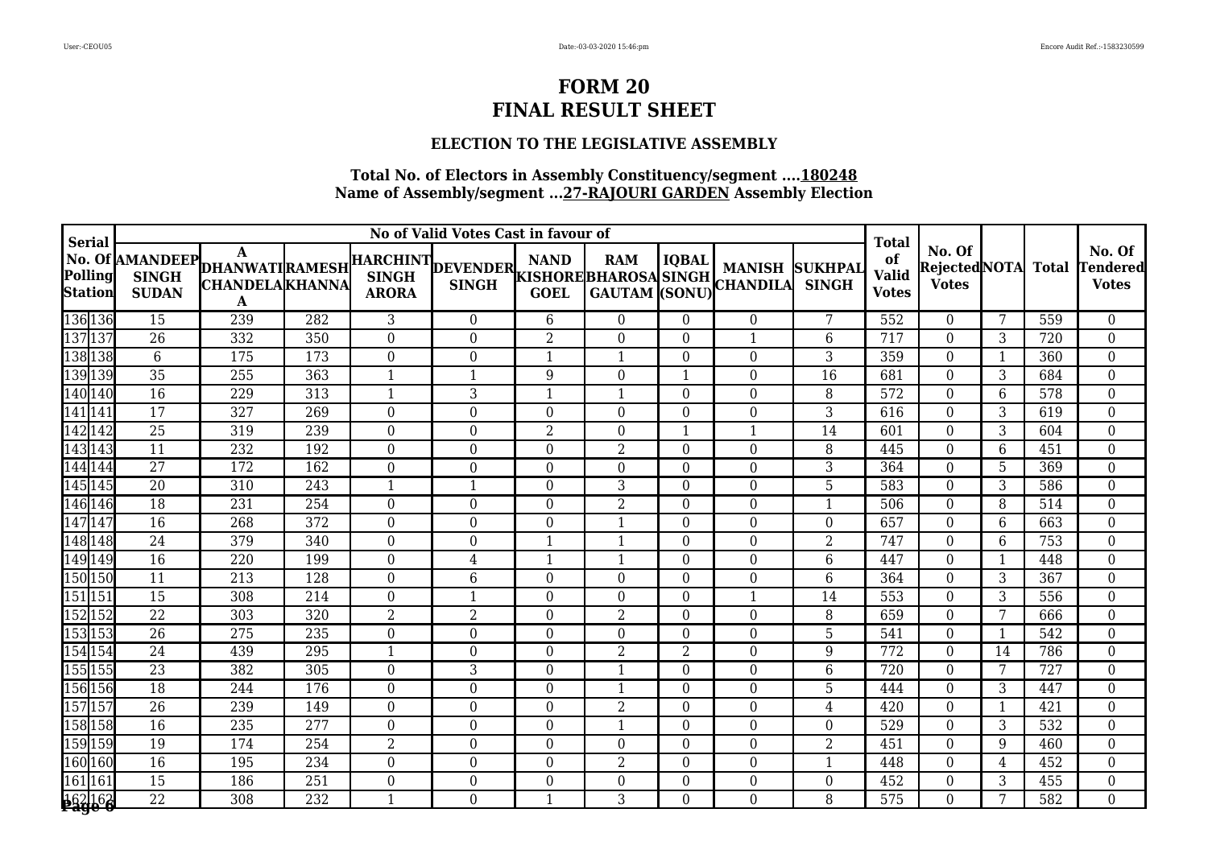### **ELECTION TO THE LEGISLATIVE ASSEMBLY**

| <b>Serial</b>                                       |                                                 |                             |                  |                  |                                   | <b>Total</b>     |                  |                |                                                                               |                                |                                    |                                               |              |     |                                           |
|-----------------------------------------------------|-------------------------------------------------|-----------------------------|------------------|------------------|-----------------------------------|------------------|------------------|----------------|-------------------------------------------------------------------------------|--------------------------------|------------------------------------|-----------------------------------------------|--------------|-----|-------------------------------------------|
| $\left  \mathbf{Polling} \right $<br><b>Station</b> | No. Of AMANDEEP DHANWATI RAMESH<br><b>SUDAN</b> | <b>CHANDELA</b> KHANNA<br>A |                  | <b>ARORA</b>     | HARCHINT DEVENDER<br><b>SINGH</b> | <b>NAND</b>      | <b>RAM</b>       | <b>IQBAL</b>   | <b>MANISH</b><br>KISHOREBHAROSA SINGH MANISH<br>  GOEL GAUTAM (SONU) CHANDILA | <b>SUKHPAL</b><br><b>SINGH</b> | of<br><b>Valid</b><br><b>Votes</b> | No. Of<br>Rejected NOTA Total<br><b>Votes</b> |              |     | No. Of<br><b>Tendered</b><br><b>Votes</b> |
| 136 136                                             | 15                                              | 239                         | 282              | 3                | $\overline{0}$                    | 6                | $\overline{0}$   | $\Omega$       | $\theta$                                                                      | 7                              | 552                                | $\Omega$                                      | 7            | 559 | $\overline{0}$                            |
| 137 137                                             | $\overline{26}$                                 | 332                         | 350              | $\boldsymbol{0}$ | $\overline{0}$                    | $\overline{2}$   | $\overline{0}$   | $\Omega$       | $\overline{1}$                                                                | 6                              | 717                                | $\Omega$                                      | 3            | 720 | $\overline{0}$                            |
| 138 138                                             | 6                                               | 175                         | 173              | $\mathbf{0}$     | $\boldsymbol{0}$                  | $\mathbf{1}$     | $\mathbf{1}$     | $\Omega$       | $\mathbf 0$                                                                   | 3                              | 359                                | $\overline{0}$                                | $\mathbf 1$  | 360 | $\boldsymbol{0}$                          |
| 139 139                                             | 35                                              | 255                         | 363              | 1                |                                   | 9                | $\overline{0}$   |                | 0                                                                             | 16                             | 681                                | $\Omega$                                      | 3            | 684 | $\boldsymbol{0}$                          |
| 140 140                                             | $\overline{16}$                                 | 229                         | 313              | $\mathbf{1}$     | 3                                 | $\overline{1}$   | 1                | $\Omega$       | $\overline{0}$                                                                | 8                              | 572                                | $\Omega$                                      | 6            | 578 | $\boldsymbol{0}$                          |
| 141 141                                             | $\overline{17}$                                 | 327                         | 269              | $\boldsymbol{0}$ | $\overline{0}$                    | $\theta$         | $\boldsymbol{0}$ | $\Omega$       | $\boldsymbol{0}$                                                              | 3                              | 616                                | $\Omega$                                      | 3            | 619 | $\boldsymbol{0}$                          |
| 142 142                                             | $\overline{25}$                                 | 319                         | 239              | $\bf{0}$         | $\overline{0}$                    | $\overline{2}$   | $\overline{0}$   |                | $\mathbf{1}$                                                                  | 14                             | 601                                | $\Omega$                                      | 3            | 604 | $\boldsymbol{0}$                          |
| 143 143                                             | 11                                              | 232                         | 192              | $\boldsymbol{0}$ | $\boldsymbol{0}$                  | $\boldsymbol{0}$ | $\overline{2}$   | $\Omega$       | $\boldsymbol{0}$                                                              | 8                              | 445                                | $\Omega$                                      | 6            | 451 | $\boldsymbol{0}$                          |
| 144 144                                             | $\overline{27}$                                 | 172                         | 162              | $\mathbf{0}$     | $\overline{0}$                    | $\overline{0}$   | $\overline{0}$   | $\Omega$       | $\overline{0}$                                                                | 3                              | 364                                | $\Omega$                                      | 5            | 369 | $\boldsymbol{0}$                          |
| 145 145                                             | $\overline{20}$                                 | $\overline{310}$            | $\overline{243}$ | $\mathbf{1}$     | $\mathbf{1}$                      | $\Omega$         | $\mathfrak{Z}$   | $\Omega$       | $\overline{0}$                                                                | 5                              | 583                                | $\Omega$                                      | 3            | 586 | $\overline{0}$                            |
| 146 146                                             | $\overline{18}$                                 | 231                         | 254              | $\mathbf{0}$     | $\overline{0}$                    | $\overline{0}$   | $\overline{2}$   | $\Omega$       | $\boldsymbol{0}$                                                              | -1                             | 506                                | $\overline{0}$                                | 8            | 514 | $\overline{0}$                            |
| 147147                                              | 16                                              | 268                         | 372              | $\boldsymbol{0}$ | $\boldsymbol{0}$                  | $\boldsymbol{0}$ | $\mathbf{1}$     | $\Omega$       | $\boldsymbol{0}$                                                              | $\Omega$                       | 657                                | $\Omega$                                      | 6            | 663 | $\boldsymbol{0}$                          |
| 148 148                                             | $\overline{24}$                                 | 379                         | $\overline{340}$ | $\boldsymbol{0}$ | $\boldsymbol{0}$                  | $\mathbf{1}$     | $\mathbf{1}$     | $\Omega$       | $\boldsymbol{0}$                                                              | $\overline{2}$                 | 747                                | $\Omega$                                      | 6            | 753 | $\boldsymbol{0}$                          |
| 149 149                                             | $\overline{16}$                                 | 220                         | 199              | $\boldsymbol{0}$ | 4                                 | $\mathbf{1}$     | $\mathbf{1}$     | $\Omega$       | $\overline{0}$                                                                | 6                              | 447                                | $\Omega$                                      | $\mathbf{1}$ | 448 | $\overline{0}$                            |
| 150 150                                             | 11                                              | $\overline{213}$            | $\overline{128}$ | $\boldsymbol{0}$ | 6                                 | $\boldsymbol{0}$ | $\overline{0}$   | $\Omega$       | $\boldsymbol{0}$                                                              | $6\phantom{1}$                 | 364                                | $\overline{0}$                                | 3            | 367 | $\boldsymbol{0}$                          |
| 151 151                                             | 15                                              | 308                         | 214              | $\mathbf{0}$     | $\mathbf{1}$                      | $\boldsymbol{0}$ | $\boldsymbol{0}$ | $\Omega$       | $\mathbf{1}$                                                                  | 14                             | 553                                | $\Omega$                                      | 3            | 556 | $\boldsymbol{0}$                          |
| 152 152                                             | $\overline{22}$                                 | 303                         | 320              | $\overline{2}$   | $\overline{2}$                    | $\theta$         | $\overline{2}$   | $\Omega$       | $\overline{0}$                                                                | 8                              | 659                                | $\Omega$                                      | 7            | 666 | $\overline{0}$                            |
| 153 153                                             | $\overline{26}$                                 | 275                         | $\overline{235}$ | $\boldsymbol{0}$ | $\boldsymbol{0}$                  | $\Omega$         | $\overline{0}$   | $\Omega$       | $\overline{0}$                                                                | 5                              | 541                                | $\theta$                                      | $\mathbf{1}$ | 542 | $\overline{0}$                            |
| 154 154                                             | 24                                              | 439                         | 295              | $\mathbf{1}$     | $\overline{0}$                    | $\overline{0}$   | $\overline{2}$   | $\overline{2}$ | $\boldsymbol{0}$                                                              | 9                              | 772                                | $\overline{0}$                                | 14           | 786 | $\overline{0}$                            |
| 155155                                              | 23                                              | 382                         | 305              | $\boldsymbol{0}$ | 3                                 | $\boldsymbol{0}$ | $\mathbf{1}$     | $\Omega$       | $\boldsymbol{0}$                                                              | 6                              | 720                                | $\Omega$                                      | 7            | 727 | $\boldsymbol{0}$                          |
| 156 156                                             | $\overline{18}$                                 | 244                         | 176              | $\boldsymbol{0}$ | $\boldsymbol{0}$                  | $\overline{0}$   | $\mathbf{1}$     | $\Omega$       | $\overline{0}$                                                                | 5                              | 444                                | $\overline{0}$                                | 3            | 447 | $\boldsymbol{0}$                          |
| 157 157                                             | $\overline{26}$                                 | 239                         | 149              | $\overline{0}$   | $\overline{0}$                    | $\Omega$         | $\overline{2}$   | $\Omega$       | $\overline{0}$                                                                | 4                              | 420                                | $\Omega$                                      | $\mathbf{1}$ | 421 | $\boldsymbol{0}$                          |
| 158 158                                             | 16                                              | 235                         | 277              | $\boldsymbol{0}$ | $\overline{0}$                    | $\boldsymbol{0}$ | $\mathbf{1}$     | $\Omega$       | 0                                                                             | $\theta$                       | 529                                | $\Omega$                                      | 3            | 532 | $\boldsymbol{0}$                          |
| 159 159                                             | 19                                              | 174                         | 254              | $\overline{2}$   | $\boldsymbol{0}$                  | $\overline{0}$   | $\boldsymbol{0}$ | $\Omega$       | $\boldsymbol{0}$                                                              | $\overline{2}$                 | 451                                | $\overline{0}$                                | 9            | 460 | $\boldsymbol{0}$                          |
| 160 160                                             | $\overline{16}$                                 | 195                         | 234              | $\boldsymbol{0}$ | $\boldsymbol{0}$                  | $\overline{0}$   | $\overline{2}$   | $\Omega$       | $\overline{0}$                                                                | -1                             | 448                                | $\Omega$                                      | 4            | 452 | $\boldsymbol{0}$                          |
| 161161                                              | 15                                              | 186                         | 251              | $\boldsymbol{0}$ | $\boldsymbol{0}$                  | $\boldsymbol{0}$ | $\boldsymbol{0}$ | $\Omega$       | 0                                                                             | $\theta$                       | 452                                | $\theta$                                      | 3            | 455 | $\boldsymbol{0}$                          |
| 162162<br><b>Page 6</b>                             | $\overline{22}$                                 | 308                         | 232              | $\mathbf{1}$     | $\overline{0}$                    | $\overline{1}$   | 3                | $\Omega$       | $\Omega$                                                                      | 8                              | 575                                | $\Omega$                                      | 7            | 582 | $\overline{0}$                            |